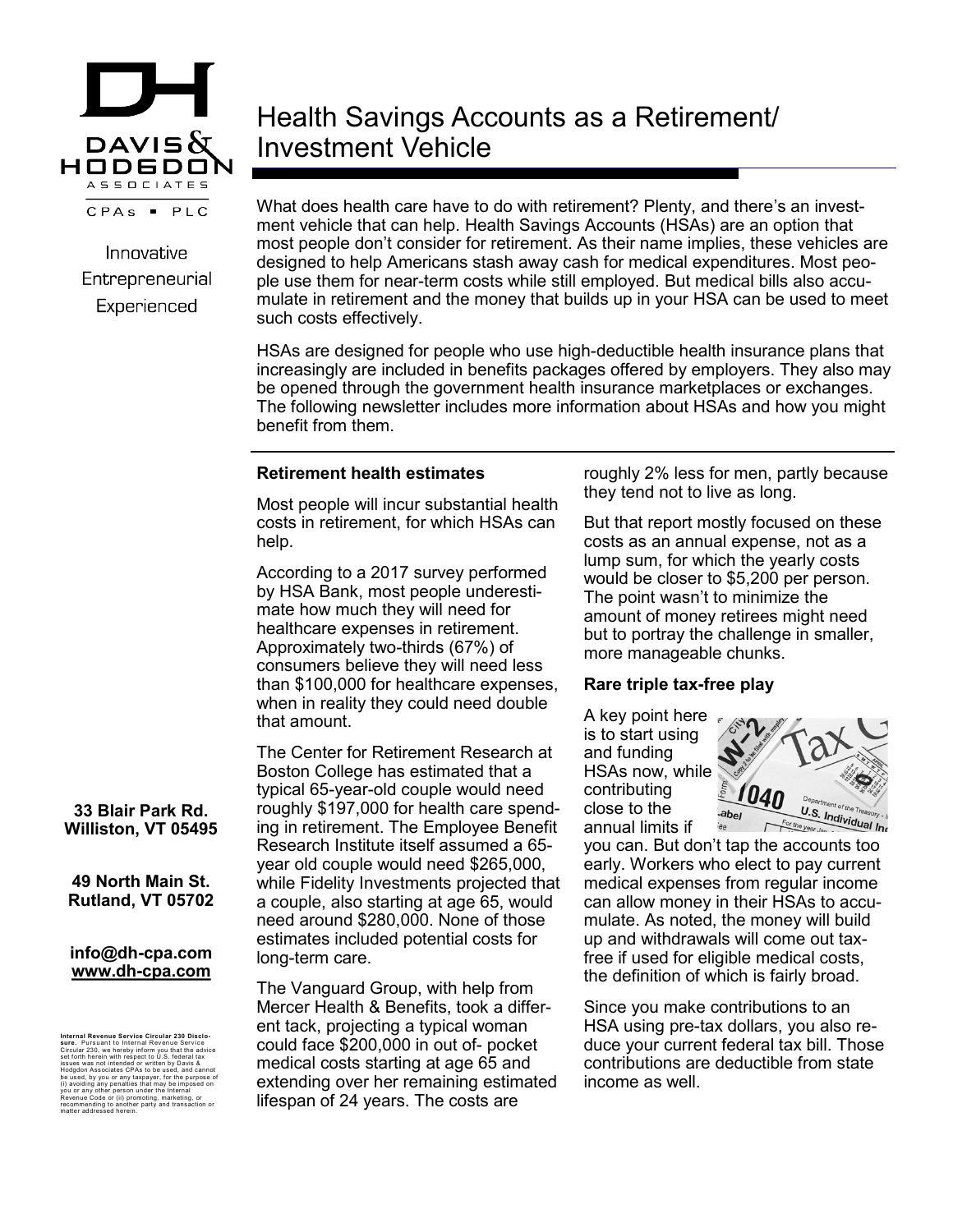

Innovative Entrepreneurial Experienced

# Health Savings Accounts as a Retirement/ Investment Vehicle

What does health care have to do with retirement? Plenty, and there's an investment vehicle that can help. Health Savings Accounts (HSAs) are an option that most people don't consider for retirement. As their name implies, these vehicles are designed to help Americans stash away cash for medical expenditures. Most people use them for near-term costs while still employed. But medical bills also accumulate in retirement and the money that builds up in your HSA can be used to meet such costs effectively.

HSAs are designed for people who use high-deductible health insurance plans that increasingly are included in benefits packages offered by employers. They also may be opened through the government health insurance marketplaces or exchanges. The following newsletter includes more information about HSAs and how you might benefit from them.

# **Retirement health estimates**

Most people will incur substantial health costs in retirement, for which HSAs can help.

According to a 2017 survey performed by HSA Bank, most people underestimate how much they will need for healthcare expenses in retirement. Approximately two-thirds (67%) of consumers believe they will need less than \$100,000 for healthcare expenses, when in reality they could need double that amount.

The Center for Retirement Research at Boston College has estimated that a typical 65-year-old couple would need roughly \$197,000 for health care spending in retirement. The Employee Benefit Research Institute itself assumed a 65 year old couple would need \$265,000, while Fidelity Investments projected that a couple, also starting at age 65, would need around \$280,000. None of those estimates included potential costs for long-term care.

The Vanguard Group, with help from Mercer Health & Benefits, took a different tack, projecting a typical woman could face \$200,000 in out of- pocket medical costs starting at age 65 and extending over her remaining estimated lifespan of 24 years. The costs are

roughly 2% less for men, partly because they tend not to live as long.

But that report mostly focused on these costs as an annual expense, not as a lump sum, for which the yearly costs would be closer to \$5,200 per person. The point wasn't to minimize the amount of money retirees might need but to portray the challenge in smaller, more manageable chunks.

# **Rare triple tax-free play**

A key point here is to start using and funding HSAs now, while contributing close to the annual limits if



you can. But don't tap the accounts too early. Workers who elect to pay current medical expenses from regular income can allow money in their HSAs to accumulate. As noted, the money will build up and withdrawals will come out taxfree if used for eligible medical costs, the definition of which is fairly broad.

Since you make contributions to an HSA using pre-tax dollars, you also reduce your current federal tax bill. Those contributions are deductible from state income as well.

**33 Blair Park Rd. Williston, VT 05495**

**49 North Main St. Rutland, VT 05702**

#### **info@dh-cpa.com www.dh-cpa.com**

Internal Revenue Service Cricular 230 Disclo-<br>stree. Pursuant to Internal Revenue Service<br>set forth herein with respect to U.S. federal tax<br>set forth herein with respect to U.S. federal tax<br>satises was not intended of with Revenue Code or (ii) promoting, marketing, or recommending to another party and transaction or matter addressed herein.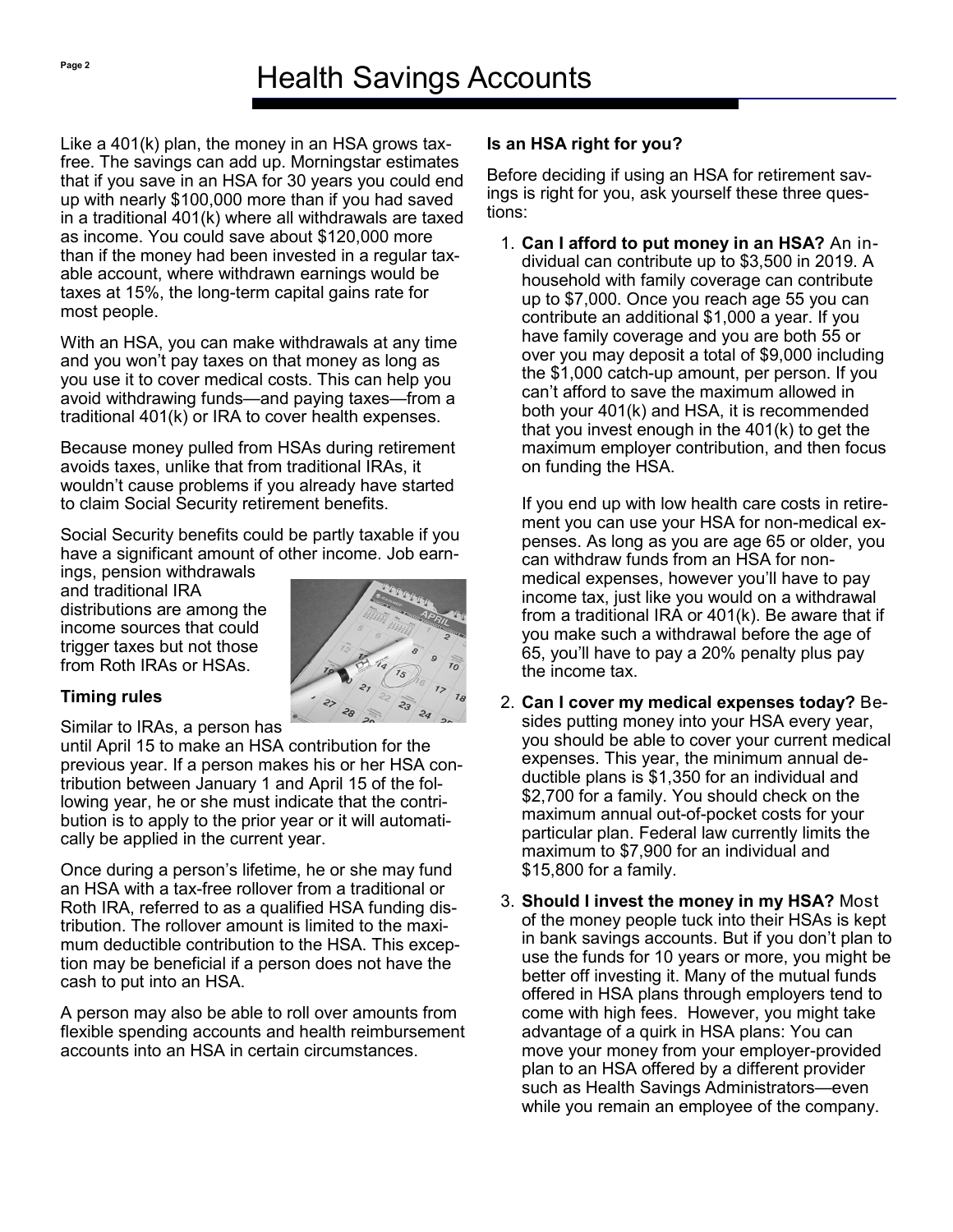Like a 401(k) plan, the money in an HSA grows taxfree. The savings can add up. Morningstar estimates that if you save in an HSA for 30 years you could end up with nearly \$100,000 more than if you had saved in a traditional 401(k) where all withdrawals are taxed as income. You could save about \$120,000 more than if the money had been invested in a regular taxable account, where withdrawn earnings would be taxes at 15%, the long-term capital gains rate for most people.

With an HSA, you can make withdrawals at any time and you won't pay taxes on that money as long as you use it to cover medical costs. This can help you avoid withdrawing funds—and paying taxes—from a traditional 401(k) or IRA to cover health expenses.

Because money pulled from HSAs during retirement avoids taxes, unlike that from traditional IRAs, it wouldn't cause problems if you already have started to claim Social Security retirement benefits.

Social Security benefits could be partly taxable if you have a significant amount of other income. Job earn-

ings, pension withdrawals and traditional IRA distributions are among the income sources that could trigger taxes but not those from Roth IRAs or HSAs.



# **Timing rules**

Similar to IRAs, a person has

until April 15 to make an HSA contribution for the previous year. If a person makes his or her HSA contribution between January 1 and April 15 of the following year, he or she must indicate that the contribution is to apply to the prior year or it will automatically be applied in the current year.

Once during a person's lifetime, he or she may fund an HSA with a tax-free rollover from a traditional or Roth IRA, referred to as a qualified HSA funding distribution. The rollover amount is limited to the maximum deductible contribution to the HSA. This exception may be beneficial if a person does not have the cash to put into an HSA.

A person may also be able to roll over amounts from flexible spending accounts and health reimbursement accounts into an HSA in certain circumstances.

# **Is an HSA right for you?**

Before deciding if using an HSA for retirement savings is right for you, ask yourself these three questions:

1. **Can I afford to put money in an HSA?** An individual can contribute up to \$3,500 in 2019. A household with family coverage can contribute up to \$7,000. Once you reach age 55 you can contribute an additional \$1,000 a year. If you have family coverage and you are both 55 or over you may deposit a total of \$9,000 including the \$1,000 catch-up amount, per person. If you can't afford to save the maximum allowed in both your 401(k) and HSA, it is recommended that you invest enough in the 401(k) to get the maximum employer contribution, and then focus on funding the HSA.

If you end up with low health care costs in retirement you can use your HSA for non-medical expenses. As long as you are age 65 or older, you can withdraw funds from an HSA for nonmedical expenses, however you'll have to pay income tax, just like you would on a withdrawal from a traditional IRA or 401(k). Be aware that if you make such a withdrawal before the age of 65, you'll have to pay a 20% penalty plus pay the income tax.

- 2. **Can I cover my medical expenses today?** Besides putting money into your HSA every year, you should be able to cover your current medical expenses. This year, the minimum annual deductible plans is \$1,350 for an individual and \$2,700 for a family. You should check on the maximum annual out-of-pocket costs for your particular plan. Federal law currently limits the maximum to \$7,900 for an individual and \$15,800 for a family.
- 3. **Should I invest the money in my HSA?** Most of the money people tuck into their HSAs is kept in bank savings accounts. But if you don't plan to use the funds for 10 years or more, you might be better off investing it. Many of the mutual funds offered in HSA plans through employers tend to come with high fees. However, you might take advantage of a quirk in HSA plans: You can move your money from your employer-provided plan to an HSA offered by a different provider such as Health Savings Administrators—even while you remain an employee of the company.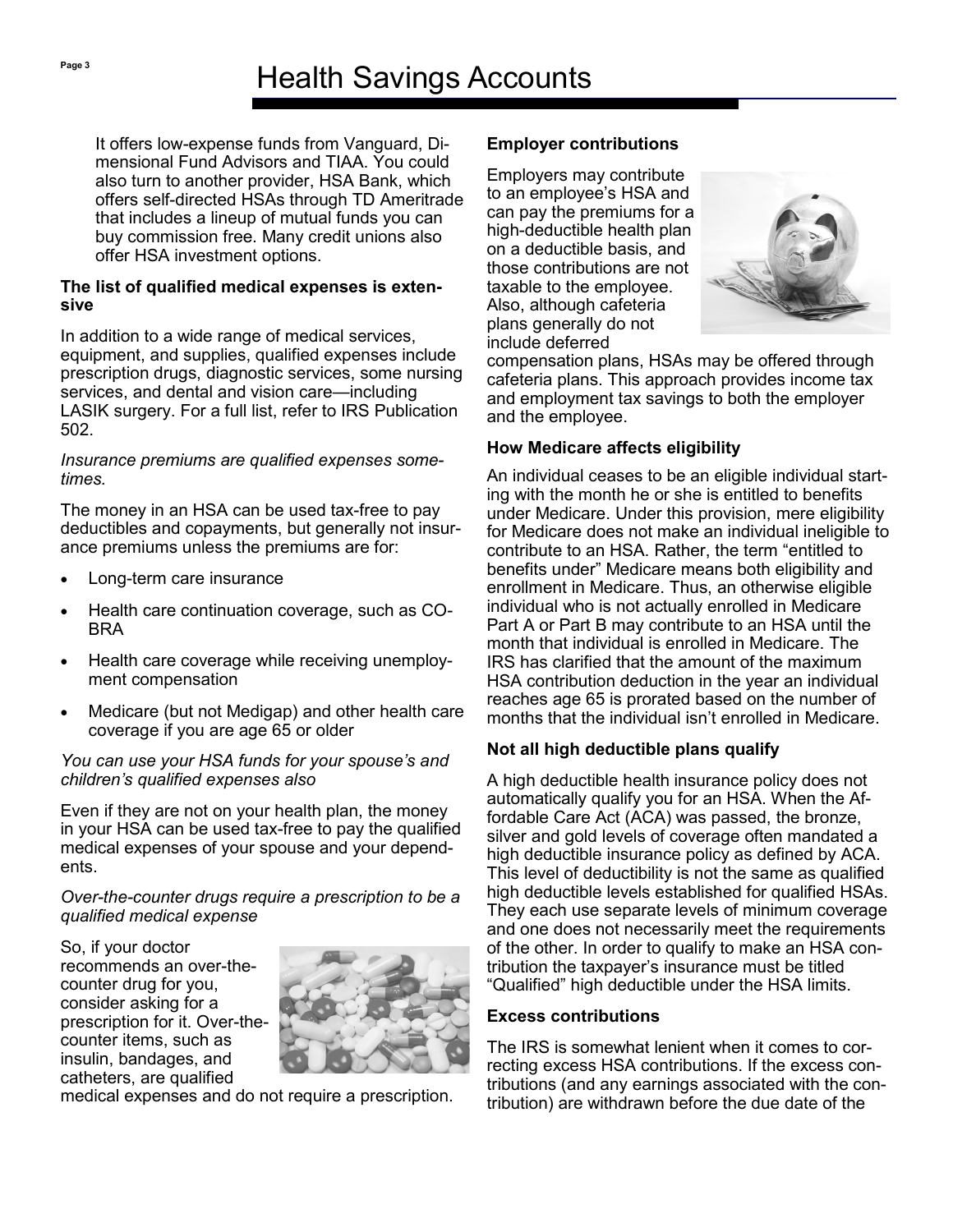It offers low-expense funds from Vanguard, Dimensional Fund Advisors and TIAA. You could also turn to another provider, HSA Bank, which offers self-directed HSAs through TD Ameritrade that includes a lineup of mutual funds you can buy commission free. Many credit unions also offer HSA investment options.

#### **The list of qualified medical expenses is extensive**

In addition to a wide range of medical services, equipment, and supplies, qualified expenses include prescription drugs, diagnostic services, some nursing services, and dental and vision care—including LASIK surgery. For a full list, refer to IRS Publication 502.

#### *Insurance premiums are qualified expenses sometimes.*

The money in an HSA can be used tax-free to pay deductibles and copayments, but generally not insurance premiums unless the premiums are for:

- Long-term care insurance
- Health care continuation coverage, such as CO-BRA
- Health care coverage while receiving unemployment compensation
- Medicare (but not Medigap) and other health care coverage if you are age 65 or older

#### *You can use your HSA funds for your spouse's and children's qualified expenses also*

Even if they are not on your health plan, the money in your HSA can be used tax-free to pay the qualified medical expenses of your spouse and your dependents.

#### *Over-the-counter drugs require a prescription to be a qualified medical expense*

So, if your doctor recommends an over-thecounter drug for you, consider asking for a prescription for it. Over-thecounter items, such as insulin, bandages, and catheters, are qualified



medical expenses and do not require a prescription.

# **Employer contributions**

Employers may contribute to an employee's HSA and can pay the premiums for a high-deductible health plan on a deductible basis, and those contributions are not taxable to the employee. Also, although cafeteria plans generally do not include deferred



compensation plans, HSAs may be offered through cafeteria plans. This approach provides income tax and employment tax savings to both the employer and the employee.

# **How Medicare affects eligibility**

An individual ceases to be an eligible individual starting with the month he or she is entitled to benefits under Medicare. Under this provision, mere eligibility for Medicare does not make an individual ineligible to contribute to an HSA. Rather, the term "entitled to benefits under" Medicare means both eligibility and enrollment in Medicare. Thus, an otherwise eligible individual who is not actually enrolled in Medicare Part A or Part B may contribute to an HSA until the month that individual is enrolled in Medicare. The IRS has clarified that the amount of the maximum HSA contribution deduction in the year an individual reaches age 65 is prorated based on the number of months that the individual isn't enrolled in Medicare.

# **Not all high deductible plans qualify**

A high deductible health insurance policy does not automatically qualify you for an HSA. When the Affordable Care Act (ACA) was passed, the bronze, silver and gold levels of coverage often mandated a high deductible insurance policy as defined by ACA. This level of deductibility is not the same as qualified high deductible levels established for qualified HSAs. They each use separate levels of minimum coverage and one does not necessarily meet the requirements of the other. In order to qualify to make an HSA contribution the taxpayer's insurance must be titled "Qualified" high deductible under the HSA limits.

# **Excess contributions**

The IRS is somewhat lenient when it comes to correcting excess HSA contributions. If the excess contributions (and any earnings associated with the contribution) are withdrawn before the due date of the